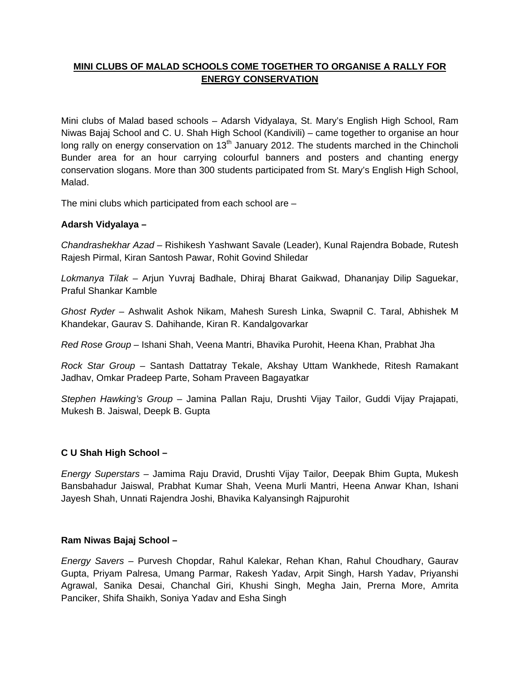## **MINI CLUBS OF MALAD SCHOOLS COME TOGETHER TO ORGANISE A RALLY FOR ENERGY CONSERVATION**

Mini clubs of Malad based schools – Adarsh Vidyalaya, St. Mary's English High School, Ram Niwas Bajaj School and C. U. Shah High School (Kandivili) – came together to organise an hour long rally on energy conservation on  $13<sup>th</sup>$  January 2012. The students marched in the Chincholi Bunder area for an hour carrying colourful banners and posters and chanting energy conservation slogans. More than 300 students participated from St. Mary's English High School, Malad.

The mini clubs which participated from each school are –

## **Adarsh Vidyalaya –**

*Chandrashekhar Azad –* Rishikesh Yashwant Savale (Leader), Kunal Rajendra Bobade, Rutesh Rajesh Pirmal, Kiran Santosh Pawar, Rohit Govind Shiledar

*Lokmanya Tilak –* Arjun Yuvraj Badhale, Dhiraj Bharat Gaikwad, Dhananjay Dilip Saguekar, Praful Shankar Kamble

*Ghost Ryder –* Ashwalit Ashok Nikam, Mahesh Suresh Linka, Swapnil C. Taral, Abhishek M Khandekar, Gaurav S. Dahihande, Kiran R. Kandalgovarkar

*Red Rose Group –* Ishani Shah, Veena Mantri, Bhavika Purohit, Heena Khan, Prabhat Jha

*Rock Star Group* – Santash Dattatray Tekale, Akshay Uttam Wankhede, Ritesh Ramakant Jadhav, Omkar Pradeep Parte, Soham Praveen Bagayatkar

*Stephen Hawking's Group* – Jamina Pallan Raju, Drushti Vijay Tailor, Guddi Vijay Prajapati, Mukesh B. Jaiswal, Deepk B. Gupta

## **C U Shah High School –**

*Energy Superstars –* Jamima Raju Dravid, Drushti Vijay Tailor, Deepak Bhim Gupta, Mukesh Bansbahadur Jaiswal, Prabhat Kumar Shah, Veena Murli Mantri, Heena Anwar Khan, Ishani Jayesh Shah, Unnati Rajendra Joshi, Bhavika Kalyansingh Rajpurohit

## **Ram Niwas Bajaj School –**

*Energy Savers –* Purvesh Chopdar, Rahul Kalekar, Rehan Khan, Rahul Choudhary, Gaurav Gupta, Priyam Palresa, Umang Parmar, Rakesh Yadav, Arpit Singh, Harsh Yadav, Priyanshi Agrawal, Sanika Desai, Chanchal Giri, Khushi Singh, Megha Jain, Prerna More, Amrita Panciker, Shifa Shaikh, Soniya Yadav and Esha Singh